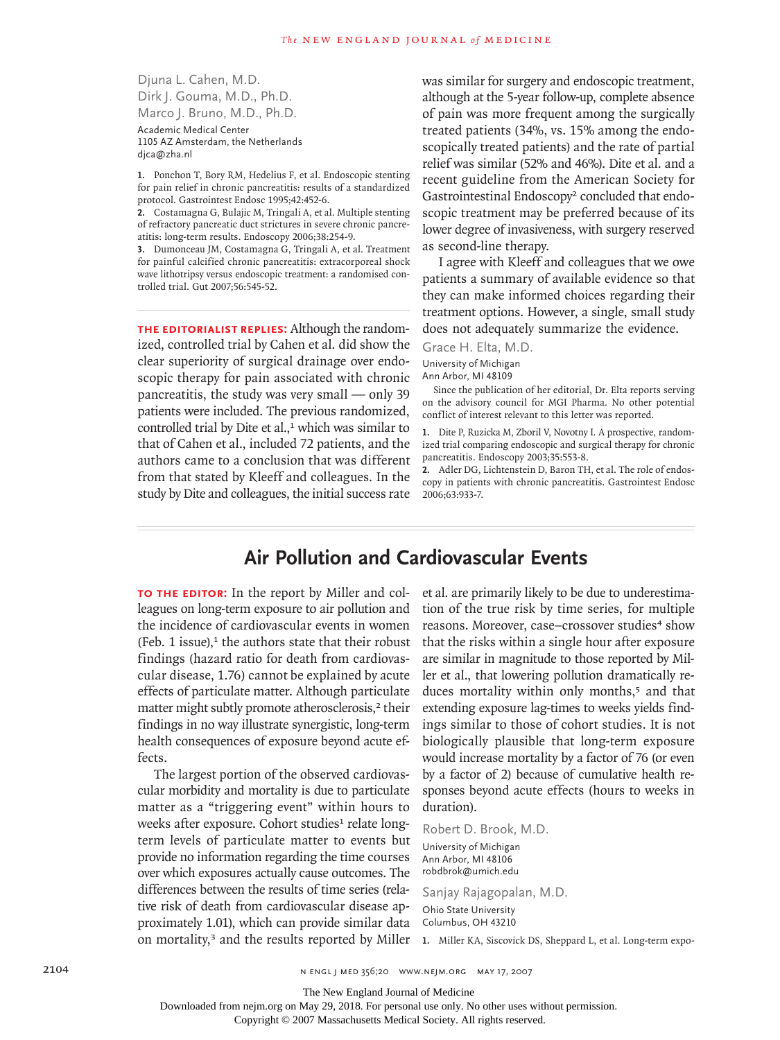Djuna L. Cahen, M.D. Dirk J. Gouma, M.D., Ph.D. Marco J. Bruno, M.D., Ph.D. Academic Medical Center 1105 AZ Amsterdam, the Netherlands

dica@zha.nl

1. Ponchon T, Bory RM, Hedelius F, et al. Endoscopic stenting for pain relief in chronic pancreatitis: results of a standardized protocol. Gastrointest Endosc 1995;42:452-6.

Costamagna G, Bulajic M, Tringali A, et al. Multiple stenting **2.** of refractory pancreatic duct strictures in severe chronic pancreatitis: long-term results. Endoscopy 2006;38:254-9.

Dumonceau JM, Costamagna G, Tringali A, et al. Treatment **3.** for painful calcified chronic pancreatitis: extracorporeal shock wave lithotripsy versus endoscopic treatment: a randomised controlled trial. Gut 2007;56:545-52.

**The Editorialist Replies:** Although the randomized, controlled trial by Cahen et al. did show the clear superiority of surgical drainage over endoscopic therapy for pain associated with chronic pancreatitis, the study was very small — only 39 patients were included. The previous randomized, controlled trial by Dite et  $al$ ,<sup>1</sup> which was similar to that of Cahen et al., included 72 patients, and the authors came to a conclusion that was different from that stated by Kleeff and colleagues. In the study by Dite and colleagues, the initial success rate

was similar for surgery and endoscopic treatment, although at the 5-year follow-up, complete absence of pain was more frequent among the surgically treated patients (34%, vs. 15% among the endoscopically treated patients) and the rate of partial relief was similar (52% and 46%). Dite et al. and a recent guideline from the American Society for Gastrointestinal Endoscopy<sup>2</sup> concluded that endoscopic treatment may be preferred because of its lower degree of invasiveness, with surgery reserved as second-line therapy.

I agree with Kleeff and colleagues that we owe patients a summary of available evidence so that they can make informed choices regarding their treatment options. However, a single, small study does not adequately summarize the evidence.

## Grace H. Elta, M.D.

University of Michigan

Ann Arbor, MI 48109

Since the publication of her editorial, Dr. Elta reports serving on the advisory council for MGI Pharma. No other potential conflict of interest relevant to this letter was reported.

1. Dite P, Ruzicka M, Zboril V, Novotny I. A prospective, randomized trial comparing endoscopic and surgical therapy for chronic pancreatitis. Endoscopy 2003;35:553-8.

Adler DG, Lichtenstein D, Baron TH, et al. The role of endos-**2.** copy in patients with chronic pancreatitis. Gastrointest Endosc 2006;63:933-7.

## **Air Pollution and Cardiovascular Events**

**To the Editor:** In the report by Miller and colleagues on long-term exposure to air pollution and the incidence of cardiovascular events in women (Feb. 1 issue), $<sup>1</sup>$  the authors state that their robust</sup> findings (hazard ratio for death from cardiovascular disease, 1.76) cannot be explained by acute effects of particulate matter. Although particulate matter might subtly promote atherosclerosis,<sup>2</sup> their findings in no way illustrate synergistic, long-term health consequences of exposure beyond acute effects.

The largest portion of the observed cardiovascular morbidity and mortality is due to particulate matter as a "triggering event" within hours to weeks after exposure. Cohort studies<sup>1</sup> relate longterm levels of particulate matter to events but provide no information regarding the time courses over which exposures actually cause outcomes. The differences between the results of time series (relative risk of death from cardiovascular disease approximately 1.01), which can provide similar data on mortality,<sup>3</sup> and the results reported by Miller et al. are primarily likely to be due to underestimation of the true risk by time series, for multiple reasons. Moreover, case–crossover studies<sup>4</sup> show that the risks within a single hour after exposure are similar in magnitude to those reported by Miller et al., that lowering pollution dramatically reduces mortality within only months,<sup>5</sup> and that extending exposure lag-times to weeks yields findings similar to those of cohort studies. It is not biologically plausible that long-term exposure would increase mortality by a factor of 76 (or even by a factor of 2) because of cumulative health responses beyond acute effects (hours to weeks in duration).

Robert D. Brook, M.D.

University of Michigan Ann Arbor, MI 48106 robdbrok@umich.edu

Sanjay Rajagopalan, M.D. Ohio State University Columbus, OH 43210

**1.** Miller KA, Siscovick DS, Sheppard L, et al. Long-term expo-

The New England Journal of Medicine

Downloaded from nejm.org on May 29, 2018. For personal use only. No other uses without permission.

Copyright © 2007 Massachusetts Medical Society. All rights reserved.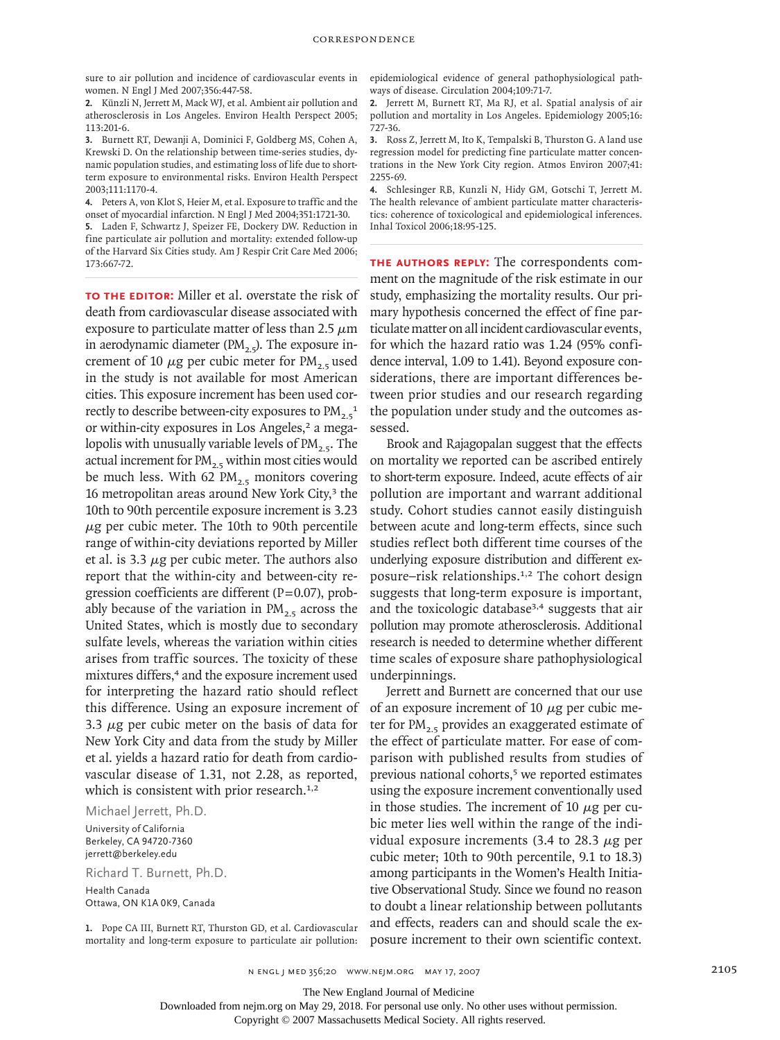sure to air pollution and incidence of cardiovascular events in women. N Engl J Med 2007;356:447-58.

Künzli N, Jerrett M, Mack WJ, et al. Ambient air pollution and **2.** atherosclerosis in Los Angeles. Environ Health Perspect 2005; 113:201-6.

**3.** Burnett RT, Dewanji A, Dominici F, Goldberg MS, Cohen A, Krewski D. On the relationship between time-series studies, dynamic population studies, and estimating loss of life due to shortterm exposure to environmental risks. Environ Health Perspect 2003;111:1170-4.

Peters A, von Klot S, Heier M, et al. Exposure to traffic and the **4.** onset of myocardial infarction. N Engl J Med 2004;351:1721-30. Laden F, Schwartz J, Speizer FE, Dockery DW. Reduction in **5.** fine particulate air pollution and mortality: extended follow-up of the Harvard Six Cities study. Am J Respir Crit Care Med 2006; 173:667-72.

**To the Editor:** Miller et al. overstate the risk of death from cardiovascular disease associated with exposure to particulate matter of less than 2.5  $\mu$ m in aerodynamic diameter (PM $_2$ ,  $)$ . The exposure increment of 10  $\mu$ g per cubic meter for PM<sub>2.5</sub> used in the study is not available for most American cities. This exposure increment has been used correctly to describe between-city exposures to  $PM_{2.5}^{-1}$ or within-city exposures in Los Angeles,<sup>2</sup> a megalopolis with unusually variable levels of  $PM_{2.5}$ . The actual increment for  $PM_{2.5}$  within most cities would be much less. With 62  $PM_{2.5}$  monitors covering 16 metropolitan areas around New York City,<sup>3</sup> the 10th to 90th percentile exposure increment is 3.23  $\mu$ g per cubic meter. The 10th to 90th percentile range of within-city deviations reported by Miller et al. is 3.3  $\mu$ g per cubic meter. The authors also report that the within-city and between-city regression coefficients are different (P=0.07), probably because of the variation in  $PM<sub>2.5</sub>$  across the United States, which is mostly due to secondary sulfate levels, whereas the variation within cities arises from traffic sources. The toxicity of these mixtures differs,<sup>4</sup> and the exposure increment used for interpreting the hazard ratio should reflect this difference. Using an exposure increment of 3.3  $\mu$ g per cubic meter on the basis of data for New York City and data from the study by Miller et al. yields a hazard ratio for death from cardiovascular disease of 1.31, not 2.28, as reported, which is consistent with prior research.<sup>1,2</sup>

Michael Jerrett, Ph.D.

University of California Berkeley, CA 94720-7360 jerrett@berkeley.edu

Richard T. Burnett, Ph.D. Health Canada Ottawa, ON K1A 0K9, Canada

1. Pope CA III, Burnett RT, Thurston GD, et al. Cardiovascular mortality and long-term exposure to particulate air pollution:

epidemiological evidence of general pathophysiological pathways of disease. Circulation 2004;109:71-7.

Jerrett M, Burnett RT, Ma RJ, et al. Spatial analysis of air **2.** pollution and mortality in Los Angeles. Epidemiology 2005;16: 727-36.

Ross Z, Jerrett M, Ito K, Tempalski B, Thurston G. A land use **3.** regression model for predicting fine particulate matter concentrations in the New York City region. Atmos Environ 2007;41: 2255-69.

Schlesinger RB, Kunzli N, Hidy GM, Gotschi T, Jerrett M. **4.** The health relevance of ambient particulate matter characteristics: coherence of toxicological and epidemiological inferences. Inhal Toxicol 2006;18:95-125.

**The authors reply:** The correspondents comment on the magnitude of the risk estimate in our study, emphasizing the mortality results. Our primary hypothesis concerned the effect of fine particulate matter on all incident cardiovascular events, for which the hazard ratio was 1.24 (95% confidence interval, 1.09 to 1.41). Beyond exposure considerations, there are important differences between prior studies and our research regarding the population under study and the outcomes assessed.

Brook and Rajagopalan suggest that the effects on mortality we reported can be ascribed entirely to short-term exposure. Indeed, acute effects of air pollution are important and warrant additional study. Cohort studies cannot easily distinguish between acute and long-term effects, since such studies reflect both different time courses of the underlying exposure distribution and different exposure–risk relationships.1,2 The cohort design suggests that long-term exposure is important, and the toxicologic database<sup>3,4</sup> suggests that air pollution may promote atherosclerosis. Additional research is needed to determine whether different time scales of exposure share pathophysiological underpinnings.

Jerrett and Burnett are concerned that our use of an exposure increment of 10  $\mu$ g per cubic meter for  $PM_{2,5}$  provides an exaggerated estimate of the effect of particulate matter. For ease of comparison with published results from studies of previous national cohorts,<sup>5</sup> we reported estimates using the exposure increment conventionally used in those studies. The increment of 10  $\mu$ g per cubic meter lies well within the range of the individual exposure increments (3.4 to 28.3  $\mu$ g per cubic meter; 10th to 90th percentile, 9.1 to 18.3) among participants in the Women's Health Initiative Observational Study. Since we found no reason to doubt a linear relationship between pollutants and effects, readers can and should scale the exposure increment to their own scientific context.

n engl j med 356;20 www.nejm.org may 17, 2007 2105

The New England Journal of Medicine

Downloaded from nejm.org on May 29, 2018. For personal use only. No other uses without permission.

Copyright © 2007 Massachusetts Medical Society. All rights reserved.